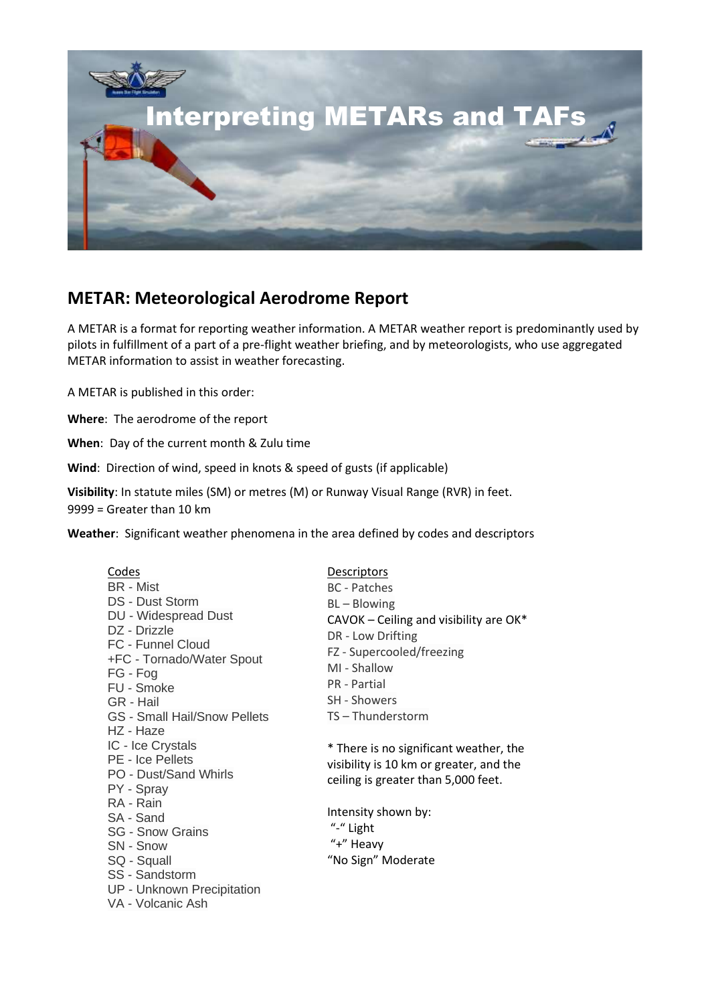

## **METAR: Meteorological Aerodrome Report**

A METAR is a format for reporting weather information. A METAR weather report is predominantly used by pilots in fulfillment of a part of a pre-flight weather briefing, and by meteorologists, who use aggregated METAR information to assist in weather forecasting.

A METAR is published in this order:

**Where**: The aerodrome of the report

**When**: Day of the current month & Zulu time

**Wind**: Direction of wind, speed in knots & speed of gusts (if applicable)

**Visibility**: In statute miles (SM) or metres (M) or Runway Visual Range (RVR) in feet. 9999 = Greater than 10 km

**Weather**: Significant weather phenomena in the area defined by codes and descriptors

| Codes<br><b>BR</b> - Mist<br><b>DS - Dust Storm</b><br><b>DU</b> - Widespread Dust<br>DZ - Drizzle<br>FC - Funnel Cloud<br>+FC - Tornado/Water Spout<br>FG - Fog<br>FU - Smoke<br>GR - Hail<br><b>GS - Small Hail/Snow Pellets</b><br>HZ - Haze<br>IC - Ice Crystals<br><b>PE</b> - Ice Pellets<br>PO - Dust/Sand Whirls<br>PY - Spray<br>RA - Rain<br>SA - Sand<br><b>SG - Snow Grains</b><br>SN - Snow<br>SQ - Squall<br>SS - Sandstorm<br><b>UP - Unknown Precipitation</b><br>VA - Volcanic Ash | <u>Descriptors</u><br><b>BC</b> - Patches<br>BL-Blowing<br>$CAVOK - Ceiling$ and visibility are $OK*$<br>DR - Low Drifting<br>FZ - Supercooled/freezing<br>MI - Shallow<br><b>PR</b> - Partial<br><b>SH - Showers</b><br>TS-Thunderstorm |  |  |
|-----------------------------------------------------------------------------------------------------------------------------------------------------------------------------------------------------------------------------------------------------------------------------------------------------------------------------------------------------------------------------------------------------------------------------------------------------------------------------------------------------|------------------------------------------------------------------------------------------------------------------------------------------------------------------------------------------------------------------------------------------|--|--|
|                                                                                                                                                                                                                                                                                                                                                                                                                                                                                                     | * There is no significant weather, the<br>visibility is 10 km or greater, and the<br>ceiling is greater than 5,000 feet.<br>Intensity shown by:<br>"-" Light                                                                             |  |  |
|                                                                                                                                                                                                                                                                                                                                                                                                                                                                                                     | "+" Heavy<br>"No Sign" Moderate                                                                                                                                                                                                          |  |  |